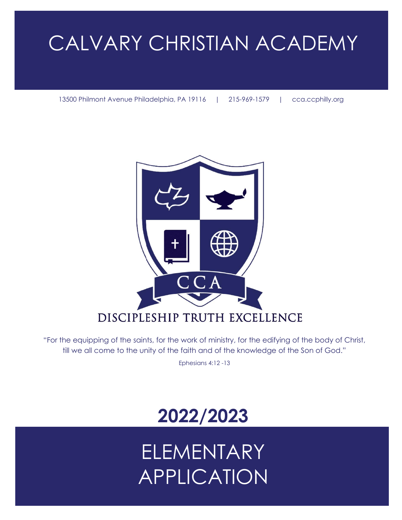# CALVARY CHRISTIAN ACADEMY

13500 Philmont Avenue Philadelphia, PA 19116 | 215-969-1579 | cca.ccphilly.org



"For the equipping of the saints, for the work of ministry, for the edifying of the body of Christ, till we all come to the unity of the faith and of the knowledge of the Son of God."

Ephesians 4:12 -13

# **2022/2023**

JR/SR HIGH SCHOOL

CURRICULUM GUIDE

ELEMENTARY APPLICATION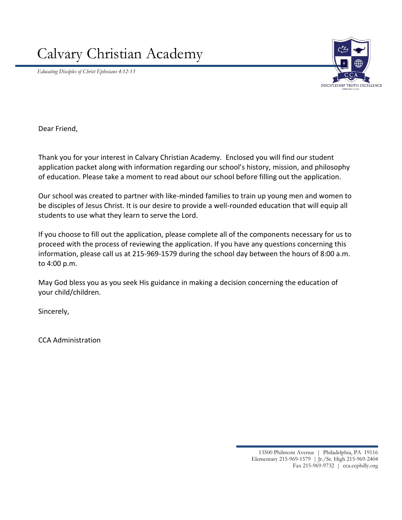# Calvary Christian Academy

*Educating Disciples of Christ Ephesians 4:12-13*



Dear Friend,

Thank you for your interest in Calvary Christian Academy. Enclosed you will find our student application packet along with information regarding our school's history, mission, and philosophy of education. Please take a moment to read about our school before filling out the application.

Our school was created to partner with like-minded families to train up young men and women to be disciples of Jesus Christ. It is our desire to provide a well-rounded education that will equip all students to use what they learn to serve the Lord.

If you choose to fill out the application, please complete all of the components necessary for us to proceed with the process of reviewing the application. If you have any questions concerning this information, please call us at 215-969-1579 during the school day between the hours of 8:00 a.m. to 4:00 p.m.

May God bless you as you seek His guidance in making a decision concerning the education of your child/children.

Sincerely,

CCA Administration

<sup>13500</sup> Philmont Avenue | Philadelphia, PA 19116 Elementary 215-969-1579 | Jr./Sr. High 215-969-2404 Fax 215-969-9732 | cca.ccphilly.org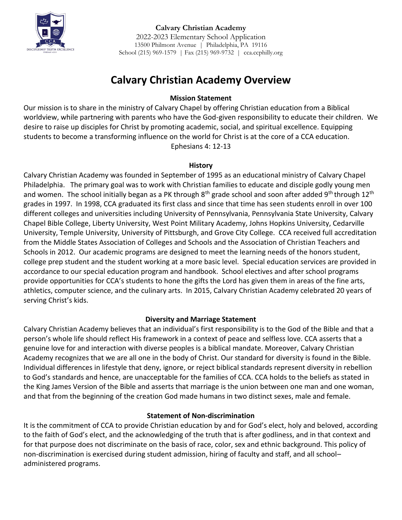

**Calvary Christian Academy** 2022-2023 Elementary School Application 13500 Philmont Avenue | Philadelphia, PA 19116 School (215) 969-1579 | Fax (215) 969-9732 | cca.ccphilly.org

# **Calvary Christian Academy Overview**

# **Mission Statement**

Our mission is to share in the ministry of Calvary Chapel by offering Christian education from a Biblical worldview, while partnering with parents who have the God-given responsibility to educate their children. We desire to raise up disciples for Christ by promoting academic, social, and spiritual excellence. Equipping students to become a transforming influence on the world for Christ is at the core of a CCA education. Ephesians 4: 12-13

# **History**

Calvary Christian Academy was founded in September of 1995 as an educational ministry of Calvary Chapel Philadelphia. The primary goal was to work with Christian families to educate and disciple godly young men and women. The school initially began as a PK through  $8<sup>th</sup>$  grade school and soon after added 9<sup>th</sup> through 12<sup>th</sup> grades in 1997. In 1998, CCA graduated its first class and since that time has seen students enroll in over 100 different colleges and universities including University of Pennsylvania, Pennsylvania State University, Calvary Chapel Bible College, Liberty University, West Point Military Academy, Johns Hopkins University, Cedarville University, Temple University, University of Pittsburgh, and Grove City College. CCA received full accreditation from the Middle States Association of Colleges and Schools and the Association of Christian Teachers and Schools in 2012. Our academic programs are designed to meet the learning needs of the honors student, college prep student and the student working at a more basic level. Special education services are provided in accordance to our special education program and handbook. School electives and after school programs provide opportunities for CCA's students to hone the gifts the Lord has given them in areas of the fine arts, athletics, computer science, and the culinary arts. In 2015, Calvary Christian Academy celebrated 20 years of serving Christ's kids.

# **Diversity and Marriage Statement**

Calvary Christian Academy believes that an individual's first responsibility is to the God of the Bible and that a person's whole life should reflect His framework in a context of peace and selfless love. CCA asserts that a genuine love for and interaction with diverse peoples is a biblical mandate. Moreover, Calvary Christian Academy recognizes that we are all one in the body of Christ. Our standard for diversity is found in the Bible. Individual differences in lifestyle that deny, ignore, or reject biblical standards represent diversity in rebellion to God's standards and hence, are unacceptable for the families of CCA. CCA holds to the beliefs as stated in the King James Version of the Bible and asserts that marriage is the union between one man and one woman, and that from the beginning of the creation God made humans in two distinct sexes, male and female.

# **Statement of Non-discrimination**

It is the commitment of CCA to provide Christian education by and for God's elect, holy and beloved, according to the faith of God's elect, and the acknowledging of the truth that is after godliness, and in that context and for that purpose does not discriminate on the basis of race, color, sex and ethnic background. This policy of non-discrimination is exercised during student admission, hiring of faculty and staff, and all school– administered programs.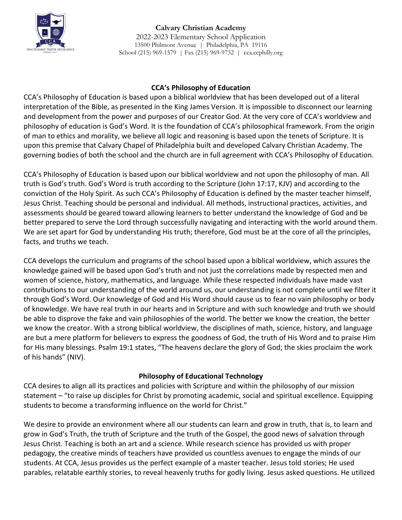

**Calvary Christian Academy** 2022-2023 Elementary School Application 13500 Philmont Avenue | Philadelphia, PA 19116 School (215) 969-1579 | Fax (215) 969-9732 | cca.ccphilly.org

# **CCA's Philosophy of Education**

CCA's Philosophy of Education is based upon a biblical worldview that has been developed out of a literal interpretation of the Bible, as presented in the King James Version. It is impossible to disconnect our learning and development from the power and purposes of our Creator God. At the very core of CCA's worldview and philosophy of education is God's Word. It is the foundation of CCA's philosophical framework. From the origin of man to ethics and morality, we believe all logic and reasoning is based upon the tenets of Scripture. It is upon this premise that Calvary Chapel of Philadelphia built and developed Calvary Christian Academy. The governing bodies of both the school and the church are in full agreement with CCA's Philosophy of Education.

CCA's Philosophy of Education is based upon our biblical worldview and not upon the philosophy of man. All truth is God's truth. God's Word is truth according to the Scripture (John 17:17, KJV) and according to the conviction of the Holy Spirit. As such CCA's Philosophy of Education is defined by the master teacher himself, Jesus Christ. Teaching should be personal and individual. All methods, instructional practices, activities, and assessments should be geared toward allowing learners to better understand the knowledge of God and be better prepared to serve the Lord through successfully navigating and interacting with the world around them. We are set apart for God by understanding His truth; therefore, God must be at the core of all the principles, facts, and truths we teach.

CCA develops the curriculum and programs of the school based upon a biblical worldview, which assures the knowledge gained will be based upon God's truth and not just the correlations made by respected men and women of science, history, mathematics, and language. While these respected individuals have made vast contributions to our understanding of the world around us, our understanding is not complete until we filter it through God's Word. Our knowledge of God and His Word should cause us to fear no vain philosophy or body of knowledge. We have real truth in our hearts and in Scripture and with such knowledge and truth we should be able to disprove the fake and vain philosophies of the world. The better we know the creation, the better we know the creator. With a strong biblical worldview, the disciplines of math, science, history, and language are but a mere platform for believers to express the goodness of God, the truth of His Word and to praise Him for His many blessings. Psalm 19:1 states, "The heavens declare the glory of God; the skies proclaim the work of his hands" (NIV).

# **Philosophy of Educational Technology**

CCA desires to align all its practices and policies with Scripture and within the philosophy of our mission statement – "to raise up disciples for Christ by promoting academic, social and spiritual excellence. Equipping students to become a transforming influence on the world for Christ."

We desire to provide an environment where all our students can learn and grow in truth, that is, to learn and grow in God's Truth, the truth of Scripture and the truth of the Gospel, the good news of salvation through Jesus Christ. Teaching is both an art and a science. While research science has provided us with proper pedagogy, the creative minds of teachers have provided us countless avenues to engage the minds of our students. At CCA, Jesus provides us the perfect example of a master teacher. Jesus told stories; He used parables, relatable earthly stories, to reveal heavenly truths for godly living. Jesus asked questions. He utilized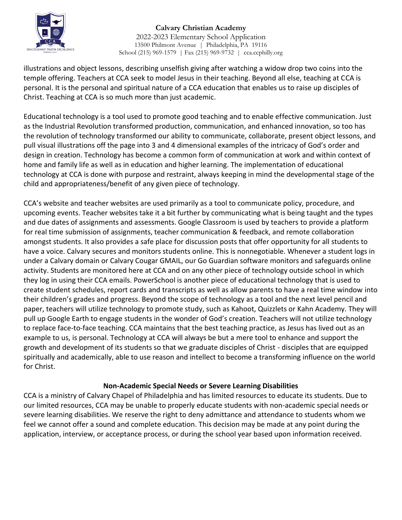

**Calvary Christian Academy** 2022-2023 Elementary School Application 13500 Philmont Avenue | Philadelphia, PA 19116 School (215) 969-1579 | Fax (215) 969-9732 | cca.ccphilly.org

illustrations and object lessons, describing unselfish giving after watching a widow drop two coins into the temple offering. Teachers at CCA seek to model Jesus in their teaching. Beyond all else, teaching at CCA is personal. It is the personal and spiritual nature of a CCA education that enables us to raise up disciples of Christ. Teaching at CCA is so much more than just academic.

Educational technology is a tool used to promote good teaching and to enable effective communication. Just as the Industrial Revolution transformed production, communication, and enhanced innovation, so too has the revolution of technology transformed our ability to communicate, collaborate, present object lessons, and pull visual illustrations off the page into 3 and 4 dimensional examples of the intricacy of God's order and design in creation. Technology has become a common form of communication at work and within context of home and family life as well as in education and higher learning. The implementation of educational technology at CCA is done with purpose and restraint, always keeping in mind the developmental stage of the child and appropriateness/benefit of any given piece of technology.

CCA's website and teacher websites are used primarily as a tool to communicate policy, procedure, and upcoming events. Teacher websites take it a bit further by communicating what is being taught and the types and due dates of assignments and assessments. Google Classroom is used by teachers to provide a platform for real time submission of assignments, teacher communication & feedback, and remote collaboration amongst students. It also provides a safe place for discussion posts that offer opportunity for all students to have a voice. Calvary secures and monitors students online. This is nonnegotiable. Whenever a student logs in under a Calvary domain or Calvary Cougar GMAIL, our Go Guardian software monitors and safeguards online activity. Students are monitored here at CCA and on any other piece of technology outside school in which they log in using their CCA emails. PowerSchool is another piece of educational technology that is used to create student schedules, report cards and transcripts as well as allow parents to have a real time window into their children's grades and progress. Beyond the scope of technology as a tool and the next level pencil and paper, teachers will utilize technology to promote study, such as Kahoot, Quizzlets or Kahn Academy. They will pull up Google Earth to engage students in the wonder of God's creation. Teachers will not utilize technology to replace face-to-face teaching. CCA maintains that the best teaching practice, as Jesus has lived out as an example to us, is personal. Technology at CCA will always be but a mere tool to enhance and support the growth and development of its students so that we graduate disciples of Christ - disciples that are equipped spiritually and academically, able to use reason and intellect to become a transforming influence on the world for Christ.

# **Non-Academic Special Needs or Severe Learning Disabilities**

CCA is a ministry of Calvary Chapel of Philadelphia and has limited resources to educate its students. Due to our limited resources, CCA may be unable to properly educate students with non-academic special needs or severe learning disabilities. We reserve the right to deny admittance and attendance to students whom we feel we cannot offer a sound and complete education. This decision may be made at any point during the application, interview, or acceptance process, or during the school year based upon information received.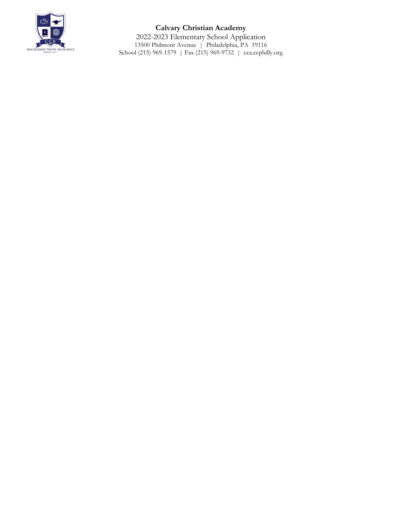

# **Calvary Christian Academy**

2022-2023 Elementary School Application 13500 Philmont Avenue | Philadelphia, PA 19116 School (215) 969-1579 | Fax (215) 969-9732 | cca.ccphilly.org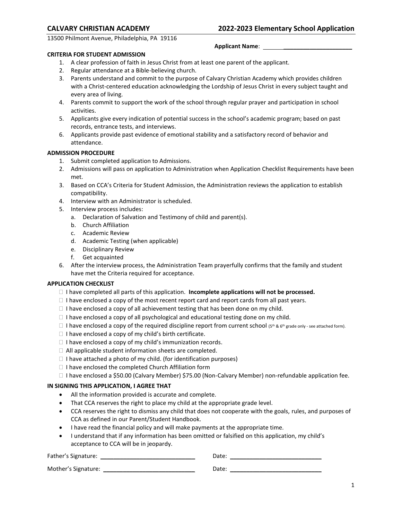### **Applicant Name**: \_\_\_\_\_\_\_\_\_\_\_\_\_\_\_\_\_\_\_\_\_

### **CRITERIA FOR STUDENT ADMISSION**

- 1. A clear profession of faith in Jesus Christ from at least one parent of the applicant.
- 2. Regular attendance at a Bible-believing church.
- 3. Parents understand and commit to the purpose of Calvary Christian Academy which provides children with a Christ-centered education acknowledging the Lordship of Jesus Christ in every subject taught and every area of living.
- 4. Parents commit to support the work of the school through regular prayer and participation in school activities.
- 5. Applicants give every indication of potential success in the school's academic program; based on past records, entrance tests, and interviews.
- 6. Applicants provide past evidence of emotional stability and a satisfactory record of behavior and attendance.

### **ADMISSION PROCEDURE**

- 1. Submit completed application to Admissions.
- 2. Admissions will pass on application to Administration when Application Checklist Requirements have been met.
- 3. Based on CCA's Criteria for Student Admission, the Administration reviews the application to establish compatibility.
- 4. Interview with an Administrator is scheduled.
- 5. Interview process includes:
	- a. Declaration of Salvation and Testimony of child and parent(s).
	- b. Church Affiliation
	- c. Academic Review
	- d. Academic Testing (when applicable)
	- e. Disciplinary Review
	- f. Get acquainted
- 6. After the interview process, the Administration Team prayerfully confirms that the family and student have met the Criteria required for acceptance.

### **APPLICATION CHECKLIST**

- I have completed all parts of this application. **Incomplete applications will not be processed.**
- $\Box$  I have enclosed a copy of the most recent report card and report cards from all past years.
- $\Box$  I have enclosed a copy of all achievement testing that has been done on my child.
- $\Box$  I have enclosed a copy of all psychological and educational testing done on my child.
- $\Box$  I have enclosed a copy of the required discipline report from current school (5th & 6th grade only see attached form).
- $\Box$  I have enclosed a copy of my child's birth certificate.
- $\Box$  I have enclosed a copy of my child's immunization records.
- $\Box$  All applicable student information sheets are completed.
- $\Box$  I have attached a photo of my child. (for identification purposes)
- $\Box$  I have enclosed the completed Church Affiliation form
- □ I have enclosed a \$50.00 (Calvary Member) \$75.00 (Non-Calvary Member) non-refundable application fee.

# **IN SIGNING THIS APPLICATION, I AGREE THAT**

- All the information provided is accurate and complete.
- That CCA reserves the right to place my child at the appropriate grade level.
- CCA reserves the right to dismiss any child that does not cooperate with the goals, rules, and purposes of CCA as defined in our Parent/Student Handbook.
- I have read the financial policy and will make payments at the appropriate time.
- I understand that if any information has been omitted or falsified on this application, my child's acceptance to CCA will be in jeopardy.

Father's Signature: \_\_\_\_\_\_\_\_\_\_\_\_\_\_\_\_\_\_\_\_\_\_\_\_\_\_\_\_\_ Date: \_\_\_\_\_\_\_\_\_\_\_\_\_\_\_\_\_\_\_\_\_\_\_\_\_\_\_\_

Mother's Signature: \_\_\_\_\_\_\_\_\_\_\_\_\_\_\_\_\_\_\_\_\_\_\_\_\_\_\_\_ Date: \_\_\_\_\_\_\_\_\_\_\_\_\_\_\_\_\_\_\_\_\_\_\_\_\_\_\_\_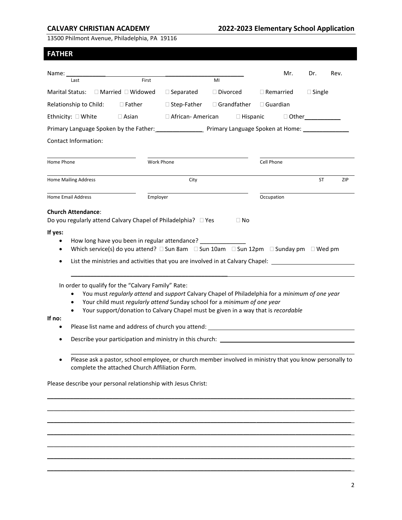| <b>FATHER</b>                                                                                                                           |                                                                                                                                                                            |                     |                    |                  |                                                                                                         |
|-----------------------------------------------------------------------------------------------------------------------------------------|----------------------------------------------------------------------------------------------------------------------------------------------------------------------------|---------------------|--------------------|------------------|---------------------------------------------------------------------------------------------------------|
| Name:<br>Last                                                                                                                           | First                                                                                                                                                                      |                     | MI                 | Mr.              | Dr.<br>Rev.                                                                                             |
| <b>Marital Status:</b>                                                                                                                  | $\Box$ Married $\Box$ Widowed                                                                                                                                              | $\Box$ Separated    | □ Divorced         | $\Box$ Remarried | $\square$ Single                                                                                        |
| Relationship to Child:                                                                                                                  | $\Box$ Father                                                                                                                                                              | $\Box$ Step-Father  | $\Box$ Grandfather | $\Box$ Guardian  |                                                                                                         |
| Ethnicity: □ White                                                                                                                      | $\Box$ Asian                                                                                                                                                               | □ African- American | $\Box$ Hispanic    |                  | $\Box$ Other                                                                                            |
| Primary Language Spoken by the Father: etc. Primary Language Spoken at Home: etc. All and the state of Primary Language Spoken at Home: |                                                                                                                                                                            |                     |                    |                  |                                                                                                         |
| Contact Information:                                                                                                                    |                                                                                                                                                                            |                     |                    |                  |                                                                                                         |
| Home Phone                                                                                                                              |                                                                                                                                                                            | Work Phone          |                    | Cell Phone       |                                                                                                         |
| <b>Home Mailing Address</b>                                                                                                             |                                                                                                                                                                            | City                |                    |                  | <b>ST</b><br>ZIP                                                                                        |
| <b>Home Email Address</b>                                                                                                               | Employer                                                                                                                                                                   |                     |                    | Occupation       |                                                                                                         |
| In order to qualify for the "Calvary Family" Rate:<br>٠<br>$\bullet$                                                                    | You must regularly attend and support Calvary Chapel of Philadelphia for a minimum of one year<br>Your child must regularly attend Sunday school for a minimum of one year |                     |                    |                  |                                                                                                         |
| $\bullet$<br>If no:                                                                                                                     | Your support/donation to Calvary Chapel must be given in a way that is recordable                                                                                          |                     |                    |                  |                                                                                                         |
|                                                                                                                                         | Please list name and address of church you attend:                                                                                                                         |                     |                    |                  |                                                                                                         |
|                                                                                                                                         | Describe your participation and ministry in this church:                                                                                                                   |                     |                    |                  |                                                                                                         |
|                                                                                                                                         | complete the attached Church Affiliation Form.                                                                                                                             |                     |                    |                  | Please ask a pastor, school employee, or church member involved in ministry that you know personally to |
| Please describe your personal relationship with Jesus Christ:                                                                           |                                                                                                                                                                            |                     |                    |                  |                                                                                                         |
|                                                                                                                                         |                                                                                                                                                                            |                     |                    |                  |                                                                                                         |
|                                                                                                                                         |                                                                                                                                                                            |                     |                    |                  |                                                                                                         |
|                                                                                                                                         |                                                                                                                                                                            |                     |                    |                  |                                                                                                         |

 $\mathcal{L}_\mathcal{L} = \{ \mathcal{L}_\mathcal{L} = \{ \mathcal{L}_\mathcal{L} = \{ \mathcal{L}_\mathcal{L} = \{ \mathcal{L}_\mathcal{L} = \{ \mathcal{L}_\mathcal{L} = \{ \mathcal{L}_\mathcal{L} = \{ \mathcal{L}_\mathcal{L} = \{ \mathcal{L}_\mathcal{L} = \{ \mathcal{L}_\mathcal{L} = \{ \mathcal{L}_\mathcal{L} = \{ \mathcal{L}_\mathcal{L} = \{ \mathcal{L}_\mathcal{L} = \{ \mathcal{L}_\mathcal{L} = \{ \mathcal{L}_\mathcal{$  $\overline{\phantom{a}}$  , and the contribution of the contribution of the contribution of the contribution of the contribution of the contribution of the contribution of the contribution of the contribution of the contribution of the \_\_\_\_\_\_\_\_\_\_\_\_\_\_\_\_\_\_\_\_\_\_\_\_\_\_\_\_\_\_\_\_\_\_\_\_\_\_\_\_\_\_\_\_\_\_\_\_\_\_\_\_\_\_\_\_\_\_\_\_\_\_\_\_\_\_\_\_\_\_\_\_\_\_\_\_\_\_\_\_\_\_\_\_\_\_\_\_\_\_\_\_\_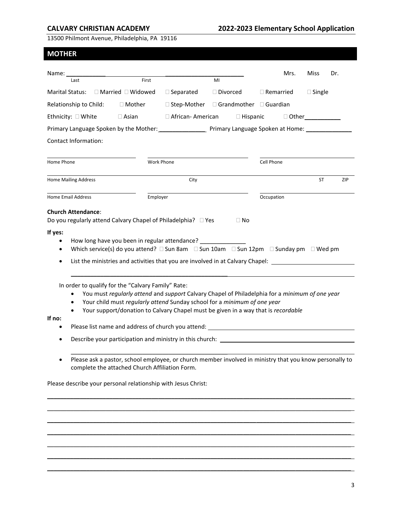| <b>MOTHER</b>                                                                                                                                                                                                                  |                                                                                                                                                                                                                                |                    |                                         |                  |                                                                                                         |
|--------------------------------------------------------------------------------------------------------------------------------------------------------------------------------------------------------------------------------|--------------------------------------------------------------------------------------------------------------------------------------------------------------------------------------------------------------------------------|--------------------|-----------------------------------------|------------------|---------------------------------------------------------------------------------------------------------|
| Name: when the contract of the contract of the contract of the contract of the contract of the contract of the contract of the contract of the contract of the contract of the contract of the contract of the contract of the |                                                                                                                                                                                                                                |                    |                                         | Mrs.             | <b>Miss</b><br>Dr.                                                                                      |
| Last                                                                                                                                                                                                                           | First                                                                                                                                                                                                                          |                    | MI                                      |                  |                                                                                                         |
| Marital Status: □ Married □ Widowed                                                                                                                                                                                            |                                                                                                                                                                                                                                | $\Box$ Separated   | $\Box$ Divorced                         | $\Box$ Remarried | $\Box$ Single                                                                                           |
| Relationship to Child:                                                                                                                                                                                                         | $\Box$ Mother                                                                                                                                                                                                                  | $\Box$ Step-Mother | $\Box$ Grandmother $\Box$ Guardian      |                  |                                                                                                         |
| Ethnicity: □ White                                                                                                                                                                                                             | $\Box$ Asian                                                                                                                                                                                                                   |                    | $\Box$ African-American $\Box$ Hispanic |                  |                                                                                                         |
| Primary Language Spoken by the Mother: Northerland Primary Language Spoken at Home: Northerland Britannic Comm                                                                                                                 |                                                                                                                                                                                                                                |                    |                                         |                  |                                                                                                         |
| Contact Information:                                                                                                                                                                                                           |                                                                                                                                                                                                                                |                    |                                         |                  |                                                                                                         |
| Home Phone                                                                                                                                                                                                                     |                                                                                                                                                                                                                                | <b>Work Phone</b>  |                                         | Cell Phone       |                                                                                                         |
| <b>Home Mailing Address</b>                                                                                                                                                                                                    |                                                                                                                                                                                                                                | City               |                                         |                  | <b>ST</b><br>ZIP                                                                                        |
| <b>Home Email Address</b>                                                                                                                                                                                                      | Employer                                                                                                                                                                                                                       |                    |                                         | Occupation       |                                                                                                         |
| $\bullet$<br>In order to qualify for the "Calvary Family" Rate:<br>$\bullet$                                                                                                                                                   | You must regularly attend and support Calvary Chapel of Philadelphia for a minimum of one year<br>Your child must regularly attend Sunday school for a minimum of one year                                                     |                    |                                         |                  | List the ministries and activities that you are involved in at Calvary Chapel: _____________________    |
| $\bullet$<br>If no:                                                                                                                                                                                                            | Your support/donation to Calvary Chapel must be given in a way that is recordable                                                                                                                                              |                    |                                         |                  |                                                                                                         |
|                                                                                                                                                                                                                                | Please list name and address of church you attend: Network and the state of the state of the state of the state of the state of the state of the state of the state of the state of the state of the state of the state of the |                    |                                         |                  |                                                                                                         |
|                                                                                                                                                                                                                                | Describe your participation and ministry in this church:                                                                                                                                                                       |                    |                                         |                  |                                                                                                         |
|                                                                                                                                                                                                                                | complete the attached Church Affiliation Form.                                                                                                                                                                                 |                    |                                         |                  | Please ask a pastor, school employee, or church member involved in ministry that you know personally to |
| Please describe your personal relationship with Jesus Christ:                                                                                                                                                                  |                                                                                                                                                                                                                                |                    |                                         |                  |                                                                                                         |
|                                                                                                                                                                                                                                |                                                                                                                                                                                                                                |                    |                                         |                  |                                                                                                         |
|                                                                                                                                                                                                                                |                                                                                                                                                                                                                                |                    |                                         |                  |                                                                                                         |
|                                                                                                                                                                                                                                |                                                                                                                                                                                                                                |                    |                                         |                  |                                                                                                         |

 $\mathcal{L}_\mathcal{L} = \{ \mathcal{L}_\mathcal{L} = \{ \mathcal{L}_\mathcal{L} = \{ \mathcal{L}_\mathcal{L} = \{ \mathcal{L}_\mathcal{L} = \{ \mathcal{L}_\mathcal{L} = \{ \mathcal{L}_\mathcal{L} = \{ \mathcal{L}_\mathcal{L} = \{ \mathcal{L}_\mathcal{L} = \{ \mathcal{L}_\mathcal{L} = \{ \mathcal{L}_\mathcal{L} = \{ \mathcal{L}_\mathcal{L} = \{ \mathcal{L}_\mathcal{L} = \{ \mathcal{L}_\mathcal{L} = \{ \mathcal{L}_\mathcal{$  $\overline{\phantom{a}}$  , and the contribution of the contribution of the contribution of the contribution of the contribution of the contribution of the contribution of the contribution of the contribution of the contribution of the \_\_\_\_\_\_\_\_\_\_\_\_\_\_\_\_\_\_\_\_\_\_\_\_\_\_\_\_\_\_\_\_\_\_\_\_\_\_\_\_\_\_\_\_\_\_\_\_\_\_\_\_\_\_\_\_\_\_\_\_\_\_\_\_\_\_\_\_\_\_\_\_\_\_\_\_\_\_\_\_\_\_\_\_\_\_\_\_\_\_\_\_\_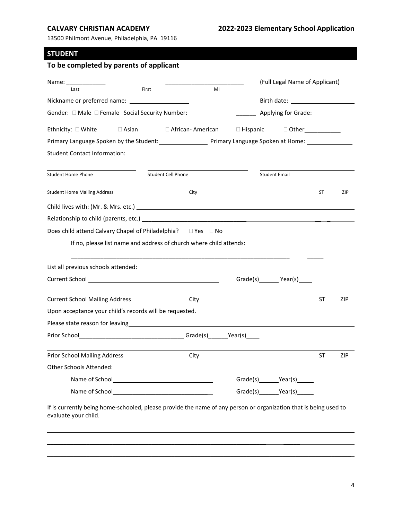# **STUDENT**

| To be completed by parents of applicant                                                                                                                                                                                        |                    |      |                                                            |                                         |           |            |
|--------------------------------------------------------------------------------------------------------------------------------------------------------------------------------------------------------------------------------|--------------------|------|------------------------------------------------------------|-----------------------------------------|-----------|------------|
|                                                                                                                                                                                                                                |                    |      |                                                            | (Full Legal Name of Applicant)          |           |            |
| Last                                                                                                                                                                                                                           | First              | MI   |                                                            |                                         |           |            |
|                                                                                                                                                                                                                                |                    |      |                                                            | Birth date: <u>____________________</u> |           |            |
| Gender: Male Female Social Security Number:                                                                                                                                                                                    |                    |      | Applying for Grade: <u>Cambridge Applying</u>              |                                         |           |            |
| Ethnicity: $\square$ White $\square$ Asian                                                                                                                                                                                     |                    |      | □ African- American    □ Hispanic    □ Other ___________   |                                         |           |            |
|                                                                                                                                                                                                                                |                    |      |                                                            |                                         |           |            |
| <b>Student Contact Information:</b>                                                                                                                                                                                            |                    |      |                                                            |                                         |           |            |
| <b>Student Home Phone</b>                                                                                                                                                                                                      | Student Cell Phone |      |                                                            | <b>Student Email</b>                    |           |            |
| <b>Student Home Mailing Address</b>                                                                                                                                                                                            |                    | City |                                                            |                                         | <b>ST</b> | <b>ZIP</b> |
| Child lives with: (Mr. & Mrs. etc.) Show that is a state of the state of the state of the state of the state of the state of the state of the state of the state of the state of the state of the state of the state of the st |                    |      |                                                            |                                         |           |            |
|                                                                                                                                                                                                                                |                    |      |                                                            |                                         |           |            |
| Does child attend Calvary Chapel of Philadelphia? □ Yes □ No                                                                                                                                                                   |                    |      |                                                            |                                         |           |            |
| If no, please list name and address of church where child attends:                                                                                                                                                             |                    |      |                                                            |                                         |           |            |
|                                                                                                                                                                                                                                |                    |      |                                                            |                                         |           |            |
| List all previous schools attended:                                                                                                                                                                                            |                    |      |                                                            |                                         |           |            |
|                                                                                                                                                                                                                                |                    |      |                                                            | Grade(s) ________ Year(s) ______        |           |            |
| <b>Current School Mailing Address</b>                                                                                                                                                                                          |                    | City |                                                            |                                         | <b>ST</b> | ZIP        |
| Upon acceptance your child's records will be requested.                                                                                                                                                                        |                    |      |                                                            |                                         |           |            |
|                                                                                                                                                                                                                                |                    |      |                                                            |                                         |           |            |
|                                                                                                                                                                                                                                |                    |      |                                                            |                                         |           |            |
| Prior School Mailing Address City                                                                                                                                                                                              |                    |      | <u> 1989 - Johann Barn, amerikansk politiker (d. 1989)</u> |                                         | ST        | ZIP        |
| Other Schools Attended:                                                                                                                                                                                                        |                    |      |                                                            |                                         |           |            |
|                                                                                                                                                                                                                                |                    |      |                                                            | Grade(s) _______ Year(s) ______         |           |            |
|                                                                                                                                                                                                                                |                    |      |                                                            | Grade(s) Year(s)                        |           |            |
| If is currently being home-schooled, please provide the name of any person or organization that is being used to<br>evaluate your child.                                                                                       |                    |      |                                                            |                                         |           |            |
|                                                                                                                                                                                                                                |                    |      |                                                            |                                         |           |            |

 $\mathcal{L}_\mathcal{L} = \mathcal{L}_\mathcal{L} = \mathcal{L}_\mathcal{L} = \mathcal{L}_\mathcal{L} = \mathcal{L}_\mathcal{L} = \mathcal{L}_\mathcal{L} = \mathcal{L}_\mathcal{L} = \mathcal{L}_\mathcal{L} = \mathcal{L}_\mathcal{L} = \mathcal{L}_\mathcal{L} = \mathcal{L}_\mathcal{L} = \mathcal{L}_\mathcal{L} = \mathcal{L}_\mathcal{L} = \mathcal{L}_\mathcal{L} = \mathcal{L}_\mathcal{L} = \mathcal{L}_\mathcal{L} = \mathcal{L}_\mathcal{L}$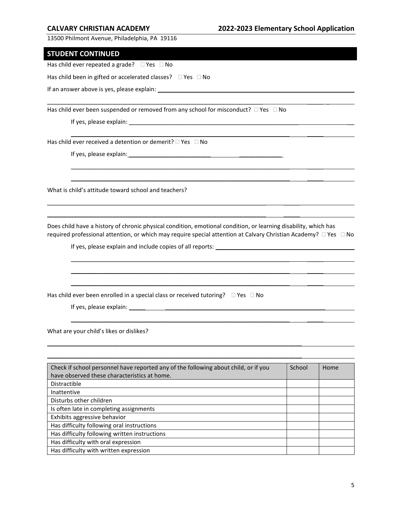## **STUDENT CONTINUED**

Has child ever repeated a grade?  $\Box$  Yes  $\Box$  No

Has child been in gifted or accelerated classes?  $\Box$  Yes  $\Box$  No

If an answer above is yes, please explain:  $\Box$ 

Has child ever been suspended or removed from any school for misconduct?  $\Box$  Yes  $\Box$  No

\_\_\_\_\_\_\_\_\_\_\_\_\_\_\_\_\_\_\_\_\_\_\_\_\_\_\_\_\_\_\_\_\_\_\_\_\_\_\_\_\_\_\_\_\_\_\_\_\_\_\_\_\_\_\_\_\_\_\_\_\_\_\_\_\_\_\_ \_\_\_\_\_ \_\_\_\_\_\_\_\_\_\_\_\_\_\_\_\_\_\_\_\_\_\_\_\_\_\_\_\_\_\_\_\_\_\_\_\_\_\_\_\_\_\_\_\_\_\_\_\_\_\_\_\_\_\_\_\_\_\_\_\_\_\_\_\_\_\_\_ \_\_\_\_\_

 $\mathcal{L}_\mathcal{L} = \mathcal{L}_\mathcal{L} = \mathcal{L}_\mathcal{L} = \mathcal{L}_\mathcal{L} = \mathcal{L}_\mathcal{L} = \mathcal{L}_\mathcal{L} = \mathcal{L}_\mathcal{L} = \mathcal{L}_\mathcal{L} = \mathcal{L}_\mathcal{L} = \mathcal{L}_\mathcal{L} = \mathcal{L}_\mathcal{L} = \mathcal{L}_\mathcal{L} = \mathcal{L}_\mathcal{L} = \mathcal{L}_\mathcal{L} = \mathcal{L}_\mathcal{L} = \mathcal{L}_\mathcal{L} = \mathcal{L}_\mathcal{L}$ 

 $\mathcal{L}_\mathcal{L} = \mathcal{L}_\mathcal{L} = \mathcal{L}_\mathcal{L} = \mathcal{L}_\mathcal{L} = \mathcal{L}_\mathcal{L} = \mathcal{L}_\mathcal{L} = \mathcal{L}_\mathcal{L} = \mathcal{L}_\mathcal{L} = \mathcal{L}_\mathcal{L} = \mathcal{L}_\mathcal{L} = \mathcal{L}_\mathcal{L} = \mathcal{L}_\mathcal{L} = \mathcal{L}_\mathcal{L} = \mathcal{L}_\mathcal{L} = \mathcal{L}_\mathcal{L} = \mathcal{L}_\mathcal{L} = \mathcal{L}_\mathcal{L}$ 

 $\mathcal{L}_\mathcal{L} = \mathcal{L}_\mathcal{L} = \mathcal{L}_\mathcal{L} = \mathcal{L}_\mathcal{L} = \mathcal{L}_\mathcal{L} = \mathcal{L}_\mathcal{L} = \mathcal{L}_\mathcal{L} = \mathcal{L}_\mathcal{L} = \mathcal{L}_\mathcal{L} = \mathcal{L}_\mathcal{L} = \mathcal{L}_\mathcal{L} = \mathcal{L}_\mathcal{L} = \mathcal{L}_\mathcal{L} = \mathcal{L}_\mathcal{L} = \mathcal{L}_\mathcal{L} = \mathcal{L}_\mathcal{L} = \mathcal{L}_\mathcal{L}$  $\mathcal{L}_\mathcal{L} = \mathcal{L}_\mathcal{L} = \mathcal{L}_\mathcal{L} = \mathcal{L}_\mathcal{L} = \mathcal{L}_\mathcal{L} = \mathcal{L}_\mathcal{L} = \mathcal{L}_\mathcal{L} = \mathcal{L}_\mathcal{L} = \mathcal{L}_\mathcal{L} = \mathcal{L}_\mathcal{L} = \mathcal{L}_\mathcal{L} = \mathcal{L}_\mathcal{L} = \mathcal{L}_\mathcal{L} = \mathcal{L}_\mathcal{L} = \mathcal{L}_\mathcal{L} = \mathcal{L}_\mathcal{L} = \mathcal{L}_\mathcal{L}$ 

If yes, please explain: The same state of the state of the state of the state of the state of the state of the

Has child ever received a detention or demerit?  $\Box$  Yes  $\Box$  No

If yes, please explain: \_\_\_\_\_\_\_\_\_\_\_\_\_\_\_\_\_\_\_\_\_\_\_\_\_ \_\_\_\_\_\_\_\_\_\_\_\_\_

What is child's attitude toward school and teachers?

Does child have a history of chronic physical condition, emotional condition, or learning disability, which has required professional attention, or which may require special attention at Calvary Christian Academy?  $\Box$  Yes  $\Box$  No

 $\mathcal{L}_\mathcal{L} = \mathcal{L}_\mathcal{L} = \mathcal{L}_\mathcal{L} = \mathcal{L}_\mathcal{L} = \mathcal{L}_\mathcal{L} = \mathcal{L}_\mathcal{L} = \mathcal{L}_\mathcal{L} = \mathcal{L}_\mathcal{L} = \mathcal{L}_\mathcal{L} = \mathcal{L}_\mathcal{L} = \mathcal{L}_\mathcal{L} = \mathcal{L}_\mathcal{L} = \mathcal{L}_\mathcal{L} = \mathcal{L}_\mathcal{L} = \mathcal{L}_\mathcal{L} = \mathcal{L}_\mathcal{L} = \mathcal{L}_\mathcal{L}$ \_\_\_\_\_\_\_\_\_\_\_\_\_\_\_\_\_\_\_\_\_\_\_\_\_\_\_\_\_\_\_\_\_\_\_\_\_\_\_\_\_\_\_\_\_\_\_\_\_\_\_\_\_\_\_\_\_\_\_\_\_\_\_\_\_\_\_ \_\_\_\_\_ \_\_\_\_\_\_\_\_\_\_\_\_\_\_\_\_\_\_\_\_\_\_\_\_\_\_\_\_\_\_\_\_\_\_\_\_\_\_\_\_\_\_\_\_\_\_\_\_\_\_\_\_\_\_\_\_\_\_\_\_\_\_\_\_\_\_\_ \_\_\_\_\_

\_\_\_\_\_\_\_\_\_\_\_\_\_\_\_\_\_\_\_\_\_\_\_\_\_\_\_\_\_\_\_\_\_\_\_\_\_\_\_\_\_\_\_\_\_\_\_\_\_\_\_\_\_\_\_\_\_\_\_\_\_\_\_\_\_\_\_ \_\_\_\_\_

 $\mathcal{L}_\mathcal{L} = \{ \mathcal{L}_\mathcal{L} = \{ \mathcal{L}_\mathcal{L} = \{ \mathcal{L}_\mathcal{L} = \{ \mathcal{L}_\mathcal{L} = \{ \mathcal{L}_\mathcal{L} = \{ \mathcal{L}_\mathcal{L} = \{ \mathcal{L}_\mathcal{L} = \{ \mathcal{L}_\mathcal{L} = \{ \mathcal{L}_\mathcal{L} = \{ \mathcal{L}_\mathcal{L} = \{ \mathcal{L}_\mathcal{L} = \{ \mathcal{L}_\mathcal{L} = \{ \mathcal{L}_\mathcal{L} = \{ \mathcal{L}_\mathcal{$  $\mathcal{L}_\mathcal{L} = \{ \mathcal{L}_\mathcal{L} = \{ \mathcal{L}_\mathcal{L} = \{ \mathcal{L}_\mathcal{L} = \{ \mathcal{L}_\mathcal{L} = \{ \mathcal{L}_\mathcal{L} = \{ \mathcal{L}_\mathcal{L} = \{ \mathcal{L}_\mathcal{L} = \{ \mathcal{L}_\mathcal{L} = \{ \mathcal{L}_\mathcal{L} = \{ \mathcal{L}_\mathcal{L} = \{ \mathcal{L}_\mathcal{L} = \{ \mathcal{L}_\mathcal{L} = \{ \mathcal{L}_\mathcal{L} = \{ \mathcal{L}_\mathcal{$ 

If yes, please explain and include copies of all reports:

Has child ever been enrolled in a special class or received tutoring?  $\Box$  Yes  $\Box$  No

If yes, please explain: \_\_\_\_\_ \_\_\_\_\_\_\_\_\_\_\_\_\_\_\_\_\_\_\_\_\_\_\_\_\_\_\_\_\_\_\_\_\_\_\_\_\_\_\_\_\_\_\_\_\_\_\_\_\_

What are your child's likes or dislikes?

| Check if school personnel have reported any of the following about child, or if you | School | Home |
|-------------------------------------------------------------------------------------|--------|------|
| have observed these characteristics at home.                                        |        |      |
| Distractible                                                                        |        |      |
| Inattentive                                                                         |        |      |
| Disturbs other children                                                             |        |      |
| Is often late in completing assignments                                             |        |      |
| Exhibits aggressive behavior                                                        |        |      |
| Has difficulty following oral instructions                                          |        |      |
| Has difficulty following written instructions                                       |        |      |
| Has difficulty with oral expression                                                 |        |      |
| Has difficulty with written expression                                              |        |      |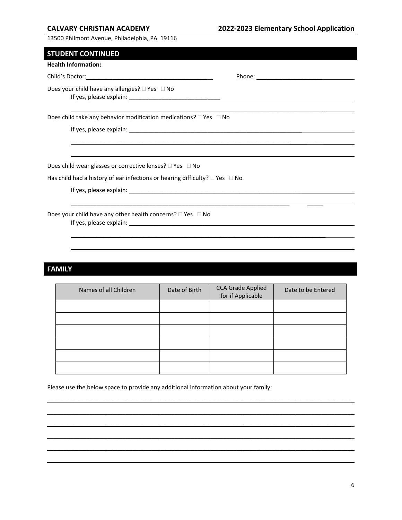# **STUDENT CONTINUED**

| <b>Health Information:</b>                                                                                                                                                                                                                                                                             |  |
|--------------------------------------------------------------------------------------------------------------------------------------------------------------------------------------------------------------------------------------------------------------------------------------------------------|--|
|                                                                                                                                                                                                                                                                                                        |  |
| Does your child have any allergies? $\square$ Yes $\square$ No                                                                                                                                                                                                                                         |  |
| Does child take any behavior modification medications? $\square$ Yes $\square$ No                                                                                                                                                                                                                      |  |
|                                                                                                                                                                                                                                                                                                        |  |
|                                                                                                                                                                                                                                                                                                        |  |
|                                                                                                                                                                                                                                                                                                        |  |
| Does child wear glasses or corrective lenses? $\Box$ Yes $\Box$ No                                                                                                                                                                                                                                     |  |
| Has child had a history of ear infections or hearing difficulty? $\square$ Yes $\square$ No                                                                                                                                                                                                            |  |
|                                                                                                                                                                                                                                                                                                        |  |
|                                                                                                                                                                                                                                                                                                        |  |
| Does your child have any other health concerns? $\Box$ Yes $\Box$ No<br>If yes, please explain: Note and the set of the set of the set of the set of the set of the set of the set of the set of the set of the set of the set of the set of the set of the set of the set of the set of the set of th |  |

 $\mathcal{L}_\mathcal{L} = \mathcal{L}_\mathcal{L} = \mathcal{L}_\mathcal{L} = \mathcal{L}_\mathcal{L} = \mathcal{L}_\mathcal{L} = \mathcal{L}_\mathcal{L} = \mathcal{L}_\mathcal{L} = \mathcal{L}_\mathcal{L} = \mathcal{L}_\mathcal{L} = \mathcal{L}_\mathcal{L} = \mathcal{L}_\mathcal{L} = \mathcal{L}_\mathcal{L} = \mathcal{L}_\mathcal{L} = \mathcal{L}_\mathcal{L} = \mathcal{L}_\mathcal{L} = \mathcal{L}_\mathcal{L} = \mathcal{L}_\mathcal{L}$  $\mathcal{L}_\mathcal{L} = \{ \mathcal{L}_\mathcal{L} = \{ \mathcal{L}_\mathcal{L} = \{ \mathcal{L}_\mathcal{L} = \{ \mathcal{L}_\mathcal{L} = \{ \mathcal{L}_\mathcal{L} = \{ \mathcal{L}_\mathcal{L} = \{ \mathcal{L}_\mathcal{L} = \{ \mathcal{L}_\mathcal{L} = \{ \mathcal{L}_\mathcal{L} = \{ \mathcal{L}_\mathcal{L} = \{ \mathcal{L}_\mathcal{L} = \{ \mathcal{L}_\mathcal{L} = \{ \mathcal{L}_\mathcal{L} = \{ \mathcal{L}_\mathcal{$ 

# **FAMILY**

| Names of all Children | Date of Birth | <b>CCA Grade Applied</b><br>for if Applicable | Date to be Entered |
|-----------------------|---------------|-----------------------------------------------|--------------------|
|                       |               |                                               |                    |
|                       |               |                                               |                    |
|                       |               |                                               |                    |
|                       |               |                                               |                    |
|                       |               |                                               |                    |
|                       |               |                                               |                    |

 $\mathcal{L}_\mathcal{L} = \{ \mathcal{L}_\mathcal{L} = \{ \mathcal{L}_\mathcal{L} = \{ \mathcal{L}_\mathcal{L} = \{ \mathcal{L}_\mathcal{L} = \{ \mathcal{L}_\mathcal{L} = \{ \mathcal{L}_\mathcal{L} = \{ \mathcal{L}_\mathcal{L} = \{ \mathcal{L}_\mathcal{L} = \{ \mathcal{L}_\mathcal{L} = \{ \mathcal{L}_\mathcal{L} = \{ \mathcal{L}_\mathcal{L} = \{ \mathcal{L}_\mathcal{L} = \{ \mathcal{L}_\mathcal{L} = \{ \mathcal{L}_\mathcal{$  $\mathcal{L}_\mathcal{L} = \{ \mathcal{L}_\mathcal{L} = \{ \mathcal{L}_\mathcal{L} = \{ \mathcal{L}_\mathcal{L} = \{ \mathcal{L}_\mathcal{L} = \{ \mathcal{L}_\mathcal{L} = \{ \mathcal{L}_\mathcal{L} = \{ \mathcal{L}_\mathcal{L} = \{ \mathcal{L}_\mathcal{L} = \{ \mathcal{L}_\mathcal{L} = \{ \mathcal{L}_\mathcal{L} = \{ \mathcal{L}_\mathcal{L} = \{ \mathcal{L}_\mathcal{L} = \{ \mathcal{L}_\mathcal{L} = \{ \mathcal{L}_\mathcal{$  $\mathcal{L}_\mathcal{L} = \{ \mathcal{L}_\mathcal{L} = \{ \mathcal{L}_\mathcal{L} = \{ \mathcal{L}_\mathcal{L} = \{ \mathcal{L}_\mathcal{L} = \{ \mathcal{L}_\mathcal{L} = \{ \mathcal{L}_\mathcal{L} = \{ \mathcal{L}_\mathcal{L} = \{ \mathcal{L}_\mathcal{L} = \{ \mathcal{L}_\mathcal{L} = \{ \mathcal{L}_\mathcal{L} = \{ \mathcal{L}_\mathcal{L} = \{ \mathcal{L}_\mathcal{L} = \{ \mathcal{L}_\mathcal{L} = \{ \mathcal{L}_\mathcal{$  $\mathcal{L}_\mathcal{L} = \{ \mathcal{L}_\mathcal{L} = \{ \mathcal{L}_\mathcal{L} = \{ \mathcal{L}_\mathcal{L} = \{ \mathcal{L}_\mathcal{L} = \{ \mathcal{L}_\mathcal{L} = \{ \mathcal{L}_\mathcal{L} = \{ \mathcal{L}_\mathcal{L} = \{ \mathcal{L}_\mathcal{L} = \{ \mathcal{L}_\mathcal{L} = \{ \mathcal{L}_\mathcal{L} = \{ \mathcal{L}_\mathcal{L} = \{ \mathcal{L}_\mathcal{L} = \{ \mathcal{L}_\mathcal{L} = \{ \mathcal{L}_\mathcal{$  $\mathcal{L}_\mathcal{L} = \{ \mathcal{L}_\mathcal{L} = \{ \mathcal{L}_\mathcal{L} = \{ \mathcal{L}_\mathcal{L} = \{ \mathcal{L}_\mathcal{L} = \{ \mathcal{L}_\mathcal{L} = \{ \mathcal{L}_\mathcal{L} = \{ \mathcal{L}_\mathcal{L} = \{ \mathcal{L}_\mathcal{L} = \{ \mathcal{L}_\mathcal{L} = \{ \mathcal{L}_\mathcal{L} = \{ \mathcal{L}_\mathcal{L} = \{ \mathcal{L}_\mathcal{L} = \{ \mathcal{L}_\mathcal{L} = \{ \mathcal{L}_\mathcal{$  $\mathcal{L}_\mathcal{L} = \mathcal{L}_\mathcal{L} = \mathcal{L}_\mathcal{L} = \mathcal{L}_\mathcal{L} = \mathcal{L}_\mathcal{L} = \mathcal{L}_\mathcal{L} = \mathcal{L}_\mathcal{L} = \mathcal{L}_\mathcal{L} = \mathcal{L}_\mathcal{L} = \mathcal{L}_\mathcal{L} = \mathcal{L}_\mathcal{L} = \mathcal{L}_\mathcal{L} = \mathcal{L}_\mathcal{L} = \mathcal{L}_\mathcal{L} = \mathcal{L}_\mathcal{L} = \mathcal{L}_\mathcal{L} = \mathcal{L}_\mathcal{L}$ 

Please use the below space to provide any additional information about your family: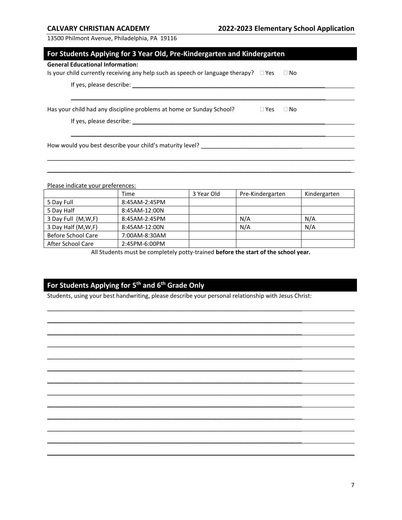| For Students Applying for 3 Year Old, Pre-Kindergarten and Kindergarten                                                                                                                                                        |            |           |  |  |  |
|--------------------------------------------------------------------------------------------------------------------------------------------------------------------------------------------------------------------------------|------------|-----------|--|--|--|
| <b>General Educational Information:</b><br>Is your child currently receiving any help such as speech or language therapy? $\square$ Yes $\square$ No                                                                           |            |           |  |  |  |
|                                                                                                                                                                                                                                |            |           |  |  |  |
|                                                                                                                                                                                                                                |            |           |  |  |  |
| Has your child had any discipline problems at home or Sunday School?                                                                                                                                                           | $\Box$ Yes | $\Box$ No |  |  |  |
| If yes, please describe: and the state of the state of the state of the state of the state of the state of the state of the state of the state of the state of the state of the state of the state of the state of the state o |            |           |  |  |  |
|                                                                                                                                                                                                                                |            |           |  |  |  |
| How would you best describe your child's maturity level?                                                                                                                                                                       |            |           |  |  |  |

\_\_\_\_\_\_\_\_\_\_\_\_\_\_\_\_\_\_\_\_\_\_\_\_\_\_\_\_\_\_\_\_\_\_\_\_\_\_\_\_\_\_\_\_\_\_\_\_\_\_\_\_\_\_\_\_\_\_\_\_\_\_\_\_\_\_\_\_\_\_\_\_\_\_\_\_\_\_\_\_\_\_\_\_\_\_\_\_\_\_\_\_\_  $\mathcal{L}_\mathcal{L} = \mathcal{L}_\mathcal{L} = \mathcal{L}_\mathcal{L} = \mathcal{L}_\mathcal{L} = \mathcal{L}_\mathcal{L} = \mathcal{L}_\mathcal{L} = \mathcal{L}_\mathcal{L} = \mathcal{L}_\mathcal{L} = \mathcal{L}_\mathcal{L} = \mathcal{L}_\mathcal{L} = \mathcal{L}_\mathcal{L} = \mathcal{L}_\mathcal{L} = \mathcal{L}_\mathcal{L} = \mathcal{L}_\mathcal{L} = \mathcal{L}_\mathcal{L} = \mathcal{L}_\mathcal{L} = \mathcal{L}_\mathcal{L}$ 

Please indicate your preferences:

|                      | Time          | 3 Year Old | Pre-Kindergarten | Kindergarten |
|----------------------|---------------|------------|------------------|--------------|
| 5 Day Full           | 8:45AM-2:45PM |            |                  |              |
| 5 Day Half           | 8:45AM-12:00N |            |                  |              |
| 3 Day Full (M, W, F) | 8:45AM-2:45PM |            | N/A              | N/A          |
| 3 Day Half (M, W, F) | 8:45AM-12:00N |            | N/A              | N/A          |
| Before School Care   | 7:00AM-8:30AM |            |                  |              |
| After School Care    | 2:45PM-6:00PM |            |                  |              |

All Students must be completely potty-trained **before the start of the school year.**

# **For Students Applying for 5 th and 6th Grade Only**

Students, using your best handwriting, please describe your personal relationship with Jesus Christ:

 $\mathcal{L}_\mathcal{L} = \{ \mathcal{L}_\mathcal{L} = \{ \mathcal{L}_\mathcal{L} = \{ \mathcal{L}_\mathcal{L} = \{ \mathcal{L}_\mathcal{L} = \{ \mathcal{L}_\mathcal{L} = \{ \mathcal{L}_\mathcal{L} = \{ \mathcal{L}_\mathcal{L} = \{ \mathcal{L}_\mathcal{L} = \{ \mathcal{L}_\mathcal{L} = \{ \mathcal{L}_\mathcal{L} = \{ \mathcal{L}_\mathcal{L} = \{ \mathcal{L}_\mathcal{L} = \{ \mathcal{L}_\mathcal{L} = \{ \mathcal{L}_\mathcal{$  $\mathcal{L}_\mathcal{L} = \{ \mathcal{L}_\mathcal{L} = \{ \mathcal{L}_\mathcal{L} = \{ \mathcal{L}_\mathcal{L} = \{ \mathcal{L}_\mathcal{L} = \{ \mathcal{L}_\mathcal{L} = \{ \mathcal{L}_\mathcal{L} = \{ \mathcal{L}_\mathcal{L} = \{ \mathcal{L}_\mathcal{L} = \{ \mathcal{L}_\mathcal{L} = \{ \mathcal{L}_\mathcal{L} = \{ \mathcal{L}_\mathcal{L} = \{ \mathcal{L}_\mathcal{L} = \{ \mathcal{L}_\mathcal{L} = \{ \mathcal{L}_\mathcal{$ \_\_\_\_\_\_\_\_\_\_\_\_\_\_\_\_\_\_\_\_\_\_\_\_\_\_\_\_\_\_\_\_\_\_\_\_\_\_\_\_\_\_\_\_\_\_\_\_\_\_\_\_\_\_\_\_\_\_\_\_\_\_\_\_\_\_\_\_\_\_\_\_\_\_\_\_\_\_ \_\_\_\_\_\_\_\_\_\_\_\_\_\_\_\_\_\_\_\_\_\_\_\_\_\_\_\_\_\_\_\_\_\_\_\_\_\_\_\_\_\_\_\_\_\_\_\_\_\_\_\_\_\_\_\_\_\_\_\_\_\_\_\_\_\_\_\_\_\_\_\_\_\_\_\_\_\_ \_\_\_\_\_\_\_\_\_\_\_\_\_\_\_\_\_\_\_\_\_\_\_\_\_\_\_\_\_\_\_\_\_\_\_\_\_\_\_\_\_\_\_\_\_\_\_\_\_\_\_\_\_\_\_\_\_\_\_\_\_\_\_\_\_\_\_\_\_\_\_\_\_\_\_\_\_\_  $\mathcal{L}_\mathcal{L} = \{ \mathcal{L}_\mathcal{L} = \{ \mathcal{L}_\mathcal{L} = \{ \mathcal{L}_\mathcal{L} = \{ \mathcal{L}_\mathcal{L} = \{ \mathcal{L}_\mathcal{L} = \{ \mathcal{L}_\mathcal{L} = \{ \mathcal{L}_\mathcal{L} = \{ \mathcal{L}_\mathcal{L} = \{ \mathcal{L}_\mathcal{L} = \{ \mathcal{L}_\mathcal{L} = \{ \mathcal{L}_\mathcal{L} = \{ \mathcal{L}_\mathcal{L} = \{ \mathcal{L}_\mathcal{L} = \{ \mathcal{L}_\mathcal{$  $\mathcal{L}_\mathcal{L} = \{ \mathcal{L}_\mathcal{L} = \{ \mathcal{L}_\mathcal{L} = \{ \mathcal{L}_\mathcal{L} = \{ \mathcal{L}_\mathcal{L} = \{ \mathcal{L}_\mathcal{L} = \{ \mathcal{L}_\mathcal{L} = \{ \mathcal{L}_\mathcal{L} = \{ \mathcal{L}_\mathcal{L} = \{ \mathcal{L}_\mathcal{L} = \{ \mathcal{L}_\mathcal{L} = \{ \mathcal{L}_\mathcal{L} = \{ \mathcal{L}_\mathcal{L} = \{ \mathcal{L}_\mathcal{L} = \{ \mathcal{L}_\mathcal{$  $\mathcal{L}_\mathcal{L} = \mathcal{L}_\mathcal{L} = \mathcal{L}_\mathcal{L} = \mathcal{L}_\mathcal{L} = \mathcal{L}_\mathcal{L} = \mathcal{L}_\mathcal{L} = \mathcal{L}_\mathcal{L} = \mathcal{L}_\mathcal{L} = \mathcal{L}_\mathcal{L} = \mathcal{L}_\mathcal{L} = \mathcal{L}_\mathcal{L} = \mathcal{L}_\mathcal{L} = \mathcal{L}_\mathcal{L} = \mathcal{L}_\mathcal{L} = \mathcal{L}_\mathcal{L} = \mathcal{L}_\mathcal{L} = \mathcal{L}_\mathcal{L}$  $\mathcal{L}_\mathcal{L} = \mathcal{L}_\mathcal{L} = \mathcal{L}_\mathcal{L} = \mathcal{L}_\mathcal{L} = \mathcal{L}_\mathcal{L} = \mathcal{L}_\mathcal{L} = \mathcal{L}_\mathcal{L} = \mathcal{L}_\mathcal{L} = \mathcal{L}_\mathcal{L} = \mathcal{L}_\mathcal{L} = \mathcal{L}_\mathcal{L} = \mathcal{L}_\mathcal{L} = \mathcal{L}_\mathcal{L} = \mathcal{L}_\mathcal{L} = \mathcal{L}_\mathcal{L} = \mathcal{L}_\mathcal{L} = \mathcal{L}_\mathcal{L}$  $\mathcal{L}_\mathcal{L} = \mathcal{L}_\mathcal{L} = \mathcal{L}_\mathcal{L} = \mathcal{L}_\mathcal{L} = \mathcal{L}_\mathcal{L} = \mathcal{L}_\mathcal{L} = \mathcal{L}_\mathcal{L} = \mathcal{L}_\mathcal{L} = \mathcal{L}_\mathcal{L} = \mathcal{L}_\mathcal{L} = \mathcal{L}_\mathcal{L} = \mathcal{L}_\mathcal{L} = \mathcal{L}_\mathcal{L} = \mathcal{L}_\mathcal{L} = \mathcal{L}_\mathcal{L} = \mathcal{L}_\mathcal{L} = \mathcal{L}_\mathcal{L}$  $\mathcal{L}_\mathcal{L} = \mathcal{L}_\mathcal{L} = \mathcal{L}_\mathcal{L} = \mathcal{L}_\mathcal{L} = \mathcal{L}_\mathcal{L} = \mathcal{L}_\mathcal{L} = \mathcal{L}_\mathcal{L} = \mathcal{L}_\mathcal{L} = \mathcal{L}_\mathcal{L} = \mathcal{L}_\mathcal{L} = \mathcal{L}_\mathcal{L} = \mathcal{L}_\mathcal{L} = \mathcal{L}_\mathcal{L} = \mathcal{L}_\mathcal{L} = \mathcal{L}_\mathcal{L} = \mathcal{L}_\mathcal{L} = \mathcal{L}_\mathcal{L}$  $\mathcal{L}_\mathcal{L} = \mathcal{L}_\mathcal{L} = \mathcal{L}_\mathcal{L} = \mathcal{L}_\mathcal{L} = \mathcal{L}_\mathcal{L} = \mathcal{L}_\mathcal{L} = \mathcal{L}_\mathcal{L} = \mathcal{L}_\mathcal{L} = \mathcal{L}_\mathcal{L} = \mathcal{L}_\mathcal{L} = \mathcal{L}_\mathcal{L} = \mathcal{L}_\mathcal{L} = \mathcal{L}_\mathcal{L} = \mathcal{L}_\mathcal{L} = \mathcal{L}_\mathcal{L} = \mathcal{L}_\mathcal{L} = \mathcal{L}_\mathcal{L}$  $\mathcal{L}_\mathcal{L} = \{ \mathcal{L}_\mathcal{L} = \{ \mathcal{L}_\mathcal{L} = \{ \mathcal{L}_\mathcal{L} = \{ \mathcal{L}_\mathcal{L} = \{ \mathcal{L}_\mathcal{L} = \{ \mathcal{L}_\mathcal{L} = \{ \mathcal{L}_\mathcal{L} = \{ \mathcal{L}_\mathcal{L} = \{ \mathcal{L}_\mathcal{L} = \{ \mathcal{L}_\mathcal{L} = \{ \mathcal{L}_\mathcal{L} = \{ \mathcal{L}_\mathcal{L} = \{ \mathcal{L}_\mathcal{L} = \{ \mathcal{L}_\mathcal{$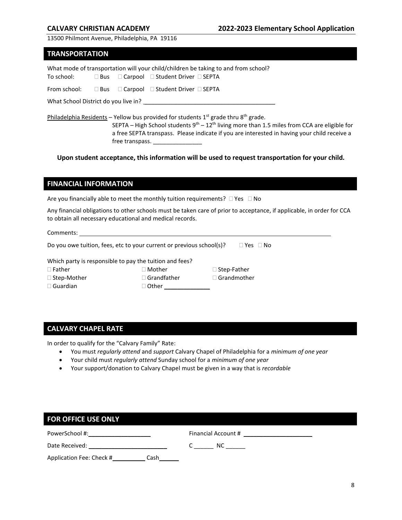# **TRANSPORTATION**

|              |                                      |  | What mode of transportation will your child/children be taking to and from school?                                                                                                                                                                                                                                 |  |  |  |
|--------------|--------------------------------------|--|--------------------------------------------------------------------------------------------------------------------------------------------------------------------------------------------------------------------------------------------------------------------------------------------------------------------|--|--|--|
| To school:   |                                      |  | $\Box$ Bus $\Box$ Carpool $\Box$ Student Driver $\Box$ SEPTA                                                                                                                                                                                                                                                       |  |  |  |
| From school: |                                      |  | $\Box$ Bus $\Box$ Carpool $\Box$ Student Driver $\Box$ SEPTA                                                                                                                                                                                                                                                       |  |  |  |
|              | What School District do you live in? |  |                                                                                                                                                                                                                                                                                                                    |  |  |  |
|              |                                      |  | Philadelphia Residents – Yellow bus provided for students $1st$ grade thru 8 <sup>th</sup> grade.<br>SEPTA – High School students $9^{th}$ – 12 <sup>th</sup> living more than 1.5 miles from CCA are eligible for<br>a free SEPTA transpass. Please indicate if you are interested in having your child receive a |  |  |  |

**Upon student acceptance, this information will be used to request transportation for your child.**

# **FINANCIAL INFORMATION**

Are you financially able to meet the monthly tuition requirements?  $\Box$  Yes  $\Box$  No

free transpass. \_\_\_\_\_\_\_\_\_\_\_\_\_\_\_

Any financial obligations to other schools must be taken care of prior to acceptance, if applicable, in order for CCA to obtain all necessary educational and medical records.

| Comments:          |                                                                      |                      |  |
|--------------------|----------------------------------------------------------------------|----------------------|--|
|                    | Do you owe tuition, fees, etc to your current or previous school(s)? | $\Box$ Yes $\Box$ No |  |
|                    | Which party is responsible to pay the tuition and fees?              |                      |  |
| $\Box$ Father      | $\Box$ Mother                                                        | $\Box$ Step-Father   |  |
| $\Box$ Step-Mother | $\Box$ Grandfather                                                   | $\Box$ Grandmother   |  |
| $\Box$ Guardian    | $\Box$ Other                                                         |                      |  |

# **CALVARY CHAPEL RATE**

In order to qualify for the "Calvary Family" Rate:

- You must *regularly attend* and *support* Calvary Chapel of Philadelphia for a *minimum of one year*
- Your child must *regularly attend* Sunday school for a *minimum of one year*
- Your support/donation to Calvary Chapel must be given in a way that is *recordable*

| <b>FOR OFFICE USE ONLY</b>       |                     |
|----------------------------------|---------------------|
| PowerSchool #:                   | Financial Account # |
| Date Received:                   | NC.                 |
| Application Fee: Check #<br>Cash |                     |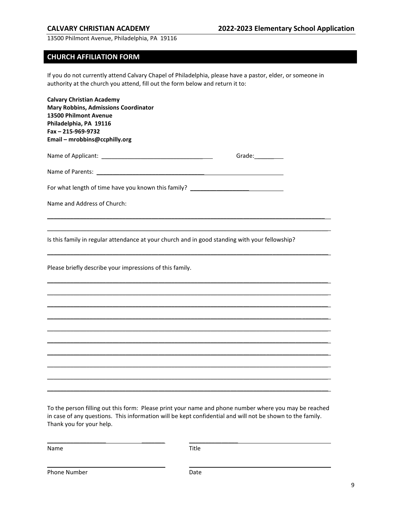# **CHURCH AFFILIATION FORM**

| If you do not currently attend Calvary Chapel of Philadelphia, please have a pastor, elder, or someone in<br>authority at the church you attend, fill out the form below and return it to: |               |  |
|--------------------------------------------------------------------------------------------------------------------------------------------------------------------------------------------|---------------|--|
| <b>Calvary Christian Academy</b><br><b>Mary Robbins, Admissions Coordinator</b><br>13500 Philmont Avenue<br>Philadelphia, PA 19116<br>Fax - 215-969-9732<br>Email - mrobbins@ccphilly.org  |               |  |
|                                                                                                                                                                                            | Grade: $\_\_$ |  |
|                                                                                                                                                                                            |               |  |
|                                                                                                                                                                                            |               |  |
| Name and Address of Church:                                                                                                                                                                |               |  |
|                                                                                                                                                                                            |               |  |
| Is this family in regular attendance at your church and in good standing with your fellowship?                                                                                             |               |  |
| Please briefly describe your impressions of this family.                                                                                                                                   |               |  |
|                                                                                                                                                                                            |               |  |
|                                                                                                                                                                                            |               |  |
|                                                                                                                                                                                            |               |  |
|                                                                                                                                                                                            |               |  |
|                                                                                                                                                                                            |               |  |
|                                                                                                                                                                                            |               |  |
|                                                                                                                                                                                            |               |  |
|                                                                                                                                                                                            |               |  |
| To the nerson filling out this form: Please print your name and phone number where you may be reached                                                                                      |               |  |

To the person filling out this form: Please print your name and phone number where you may be reached in case of any questions. This information will be kept confidential and will not be shown to the family. Thank you for your help.

\_\_\_\_\_\_\_\_\_\_\_\_\_\_\_\_\_\_ \_\_\_\_\_\_\_ \_\_\_\_\_\_\_\_\_\_\_\_\_\_\_

\_\_\_\_\_\_\_\_\_\_\_\_\_\_\_\_\_\_\_\_\_\_ \_\_\_\_ \_\_\_\_\_\_\_\_\_\_\_\_\_\_\_\_\_\_\_\_

Name **Name Name Name Name Name Name Name Name Name Name Name Name Name Name N** 

Phone Number Date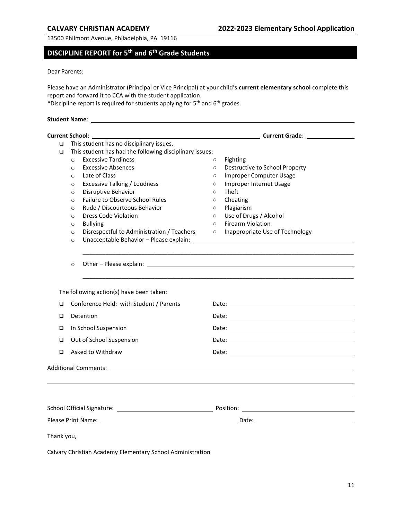# **DISCIPLINE REPORT for 5th and 6th Grade Students**

Dear Parents:

Please have an Administrator (Principal or Vice Principal) at your child's **current elementary school** complete this report and forward it to CCA with the student application.

\*Discipline report is required for students applying for 5th and 6th grades.

|  |  | <b>Student Name:</b> |  |  |
|--|--|----------------------|--|--|
|  |  |                      |  |  |

| <b>Current School:</b>             |                                                       |                                                                                                                                                                                                                               |                                                                                                                                                                                                                                     | <b>Current Grade: Current Canadian Constant Constant Canadian Constant Constant Constant Constant Constant Constant Constant Constant Constant Constant Constant Constant Constant Constant Constant Constant Constant Constan</b> |  |  |  |
|------------------------------------|-------------------------------------------------------|-------------------------------------------------------------------------------------------------------------------------------------------------------------------------------------------------------------------------------|-------------------------------------------------------------------------------------------------------------------------------------------------------------------------------------------------------------------------------------|------------------------------------------------------------------------------------------------------------------------------------------------------------------------------------------------------------------------------------|--|--|--|
| $\Box$                             |                                                       | This student has no disciplinary issues.                                                                                                                                                                                      |                                                                                                                                                                                                                                     |                                                                                                                                                                                                                                    |  |  |  |
| $\Box$                             |                                                       | This student has had the following disciplinary issues:                                                                                                                                                                       |                                                                                                                                                                                                                                     |                                                                                                                                                                                                                                    |  |  |  |
|                                    | <b>Excessive Tardiness</b><br>$\circ$                 |                                                                                                                                                                                                                               | $\circlearrowright$                                                                                                                                                                                                                 | Fighting                                                                                                                                                                                                                           |  |  |  |
|                                    | $\circ$                                               | <b>Excessive Absences</b>                                                                                                                                                                                                     | $\circ$                                                                                                                                                                                                                             | Destructive to School Property                                                                                                                                                                                                     |  |  |  |
|                                    | $\circ$                                               | Late of Class                                                                                                                                                                                                                 | $\circ$                                                                                                                                                                                                                             | Improper Computer Usage                                                                                                                                                                                                            |  |  |  |
|                                    | $\circ$                                               | <b>Excessive Talking / Loudness</b><br>Disruptive Behavior<br>Failure to Observe School Rules<br>Rude / Discourteous Behavior<br><b>Dress Code Violation</b><br><b>Bullying</b><br>Disrespectful to Administration / Teachers | $\circlearrowright$<br>$\circ$<br>$\circ$<br>$\circlearrowright$<br>$\circ$<br>$\circ$<br>$\circ$                                                                                                                                   | Improper Internet Usage                                                                                                                                                                                                            |  |  |  |
|                                    | $\circ$<br>$\circ$<br>$\circ$<br>$\circ$              |                                                                                                                                                                                                                               |                                                                                                                                                                                                                                     | Theft                                                                                                                                                                                                                              |  |  |  |
|                                    |                                                       |                                                                                                                                                                                                                               |                                                                                                                                                                                                                                     | Cheating                                                                                                                                                                                                                           |  |  |  |
|                                    |                                                       |                                                                                                                                                                                                                               |                                                                                                                                                                                                                                     | Plagiarism                                                                                                                                                                                                                         |  |  |  |
|                                    |                                                       |                                                                                                                                                                                                                               |                                                                                                                                                                                                                                     | Use of Drugs / Alcohol                                                                                                                                                                                                             |  |  |  |
|                                    | $\circ$                                               |                                                                                                                                                                                                                               |                                                                                                                                                                                                                                     | Firearm Violation                                                                                                                                                                                                                  |  |  |  |
|                                    | $\circ$                                               |                                                                                                                                                                                                                               |                                                                                                                                                                                                                                     | Inappropriate Use of Technology                                                                                                                                                                                                    |  |  |  |
|                                    | $\circ$                                               |                                                                                                                                                                                                                               |                                                                                                                                                                                                                                     |                                                                                                                                                                                                                                    |  |  |  |
|                                    | $\circ$                                               |                                                                                                                                                                                                                               |                                                                                                                                                                                                                                     |                                                                                                                                                                                                                                    |  |  |  |
| □                                  |                                                       | The following action(s) have been taken:<br>Conference Held: with Student / Parents                                                                                                                                           |                                                                                                                                                                                                                                     |                                                                                                                                                                                                                                    |  |  |  |
|                                    | Detention<br>$\Box$<br>$\Box$<br>In School Suspension |                                                                                                                                                                                                                               | Date: <u>Date: Explorer</u> Partnership and the second partnership and the second partnership and the second partnership and the second partnership and the second partnership and the second partnership and the second partnershi |                                                                                                                                                                                                                                    |  |  |  |
|                                    |                                                       |                                                                                                                                                                                                                               |                                                                                                                                                                                                                                     |                                                                                                                                                                                                                                    |  |  |  |
|                                    |                                                       |                                                                                                                                                                                                                               |                                                                                                                                                                                                                                     |                                                                                                                                                                                                                                    |  |  |  |
| Out of School Suspension<br>$\Box$ |                                                       |                                                                                                                                                                                                                               |                                                                                                                                                                                                                                     |                                                                                                                                                                                                                                    |  |  |  |
| Asked to Withdraw<br><b>□</b>      |                                                       |                                                                                                                                                                                                                               |                                                                                                                                                                                                                                     |                                                                                                                                                                                                                                    |  |  |  |
|                                    |                                                       |                                                                                                                                                                                                                               |                                                                                                                                                                                                                                     |                                                                                                                                                                                                                                    |  |  |  |
|                                    |                                                       |                                                                                                                                                                                                                               |                                                                                                                                                                                                                                     |                                                                                                                                                                                                                                    |  |  |  |
|                                    |                                                       |                                                                                                                                                                                                                               |                                                                                                                                                                                                                                     |                                                                                                                                                                                                                                    |  |  |  |
|                                    |                                                       |                                                                                                                                                                                                                               |                                                                                                                                                                                                                                     | Date: the contract of the contract of the contract of the contract of the contract of the contract of the contract of the contract of the contract of the contract of the contract of the contract of the contract of the cont     |  |  |  |
| Thank you,                         |                                                       |                                                                                                                                                                                                                               |                                                                                                                                                                                                                                     |                                                                                                                                                                                                                                    |  |  |  |

Calvary Christian Academy Elementary School Administration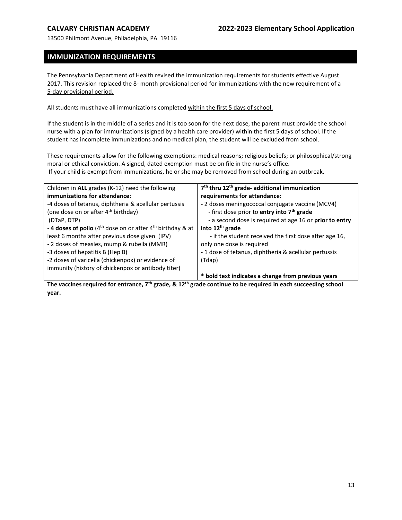# **IMMUNIZATION REQUIREMENTS**

The Pennsylvania Department of Health revised the immunization requirements for students effective August 2017. This revision replaced the 8- month provisional period for immunizations with the new requirement of a 5-day provisional period.

All students must have all immunizations completed within the first 5 days of school.

If the student is in the middle of a series and it is too soon for the next dose, the parent must provide the school nurse with a plan for immunizations (signed by a health care provider) within the first 5 days of school. If the student has incomplete immunizations and no medical plan, the student will be excluded from school.

These requirements allow for the following exemptions: medical reasons; religious beliefs; or philosophical/strong moral or ethical conviction. A signed, dated exemption must be on file in the nurse's office. If your child is exempt from immunizations, he or she may be removed from school during an outbreak.

| Children in ALL grades (K-12) need the following                | 7 <sup>th</sup> thru 12 <sup>th</sup> grade- additional immunization |
|-----------------------------------------------------------------|----------------------------------------------------------------------|
| immunizations for attendance:                                   | requirements for attendance:                                         |
| -4 doses of tetanus, diphtheria & acellular pertussis           | - 2 doses meningococcal conjugate vaccine (MCV4)                     |
| (one dose on or after 4 <sup>th</sup> birthday)                 | - first dose prior to entry into 7 <sup>th</sup> grade               |
| (DTaP, DTP)                                                     | - a second dose is required at age 16 or prior to entry              |
| - 4 doses of polio ( $4th$ dose on or after $4th$ birthday & at | into $12th$ grade                                                    |
| least 6 months after previous dose given (IPV)                  | - if the student received the first dose after age 16,               |
| - 2 doses of measles, mump & rubella (MMR)                      | only one dose is required                                            |
| -3 doses of hepatitis B (Hep B)                                 | -1 dose of tetanus, diphtheria & acellular pertussis                 |
| -2 doses of varicella (chickenpox) or evidence of               | (Tdap)                                                               |
| immunity (history of chickenpox or antibody titer)              |                                                                      |
|                                                                 | * bold text indicates a change from previous years                   |

**The vaccines required for entrance, 7th grade, & 12th grade continue to be required in each succeeding school year.**